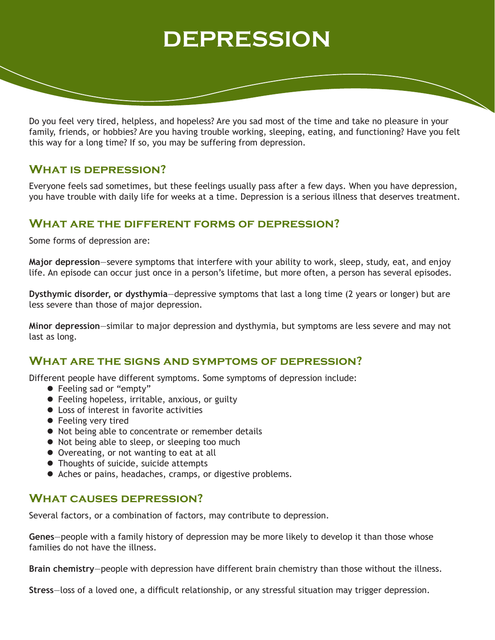# **DEPRESSION**

Do you feel very tired, helpless, and hopeless? Are you sad most of the time and take no pleasure in your family, friends, or hobbies? Are you having trouble working, sleeping, eating, and functioning? Have you felt this way for a long time? If so, you may be suffering from depression.

# **What is depression?**

Everyone feels sad sometimes, but these feelings usually pass after a few days. When you have depression, you have trouble with daily life for weeks at a time. Depression is a serious illness that deserves treatment.

# **What are the different forms of depression?**

Some forms of depression are:

**Major depression**—severe symptoms that interfere with your ability to work, sleep, study, eat, and enjoy life. An episode can occur just once in a person's lifetime, but more often, a person has several episodes.

**Dysthymic disorder, or dysthymia**—depressive symptoms that last a long time (2 years or longer) but are less severe than those of major depression.

**Minor depression**—similar to major depression and dysthymia, but symptoms are less severe and may not last as long.

## **What are the signs and symptoms of depression?**

Different people have different symptoms. Some symptoms of depression include:

- Feeling sad or "empty"
- **•** Feeling hopeless, irritable, anxious, or guilty
- **•** Loss of interest in favorite activities
- **•** Feeling very tired
- $\bullet$  Not being able to concentrate or remember details
- Not being able to sleep, or sleeping too much
- **•** Overeating, or not wanting to eat at all
- Thoughts of suicide, suicide attempts
- Aches or pains, headaches, cramps, or digestive problems.

#### **What causes depression?**

Several factors, or a combination of factors, may contribute to depression.

**Genes**—people with a family history of depression may be more likely to develop it than those whose families do not have the illness.

**Brain chemistry**—people with depression have different brain chemistry than those without the illness.

**Stress**—loss of a loved one, a difficult relationship, or any stressful situation may trigger depression.